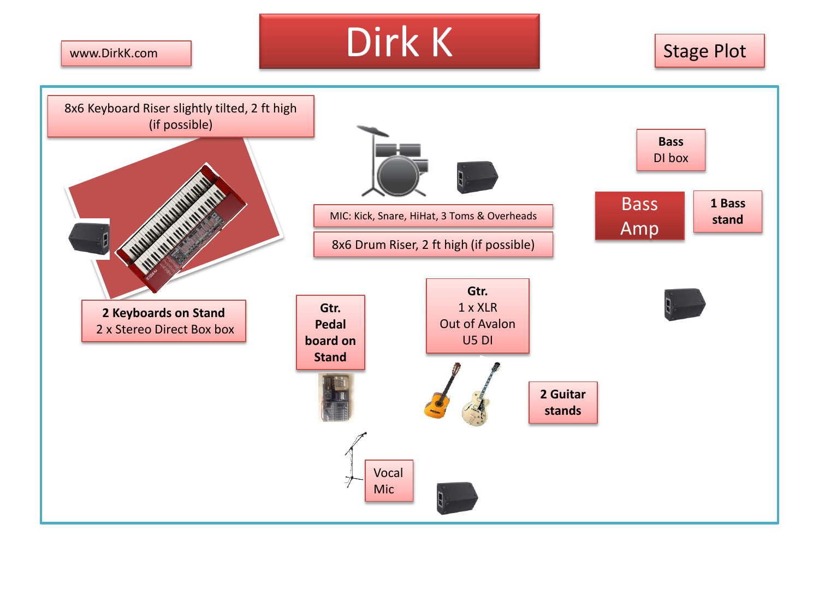www.DirkK.com

Dirk K Stage Plot

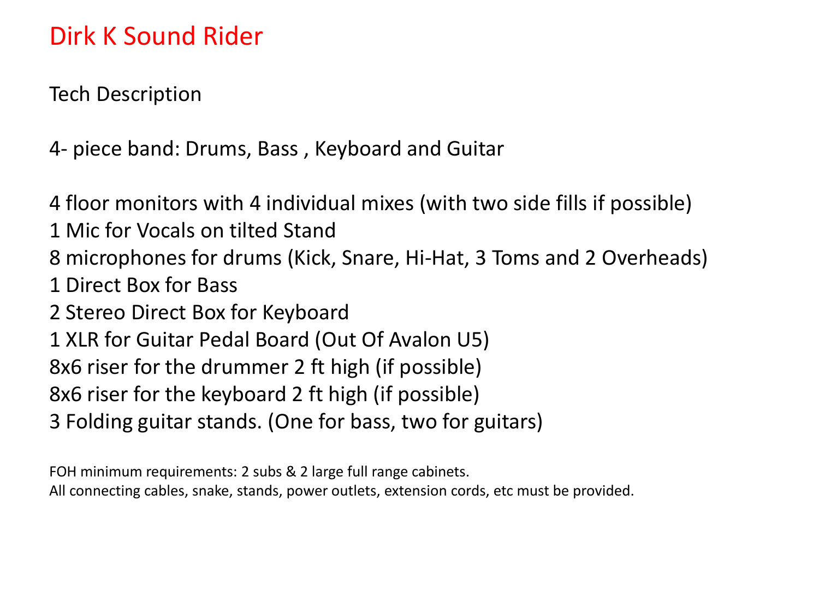## Dirk K Sound Rider

Tech Description

4- piece band: Drums, Bass , Keyboard and Guitar

4 floor monitors with 4 individual mixes (with two side fills if possible) 1 Mic for Vocals on tilted Stand 8 microphones for drums (Kick, Snare, Hi-Hat, 3 Toms and 2 Overheads) 1 Direct Box for Bass 2 Stereo Direct Box for Keyboard 1 XLR for Guitar Pedal Board (Out Of Avalon U5) 8x6 riser for the drummer 2 ft high (if possible) 8x6 riser for the keyboard 2 ft high (if possible) 3 Folding guitar stands. (One for bass, two for guitars)

FOH minimum requirements: 2 subs & 2 large full range cabinets. All connecting cables, snake, stands, power outlets, extension cords, etc must be provided.